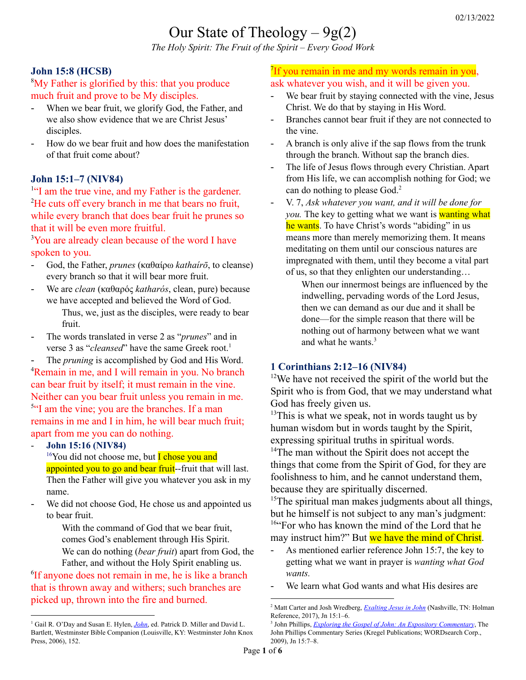# Our State of Theology  $-9g(2)$

*The Holy Spirit: The Fruit of the Spirit – Every Good Work*

# **John 15:8 (HCSB)**

<sup>8</sup>My Father is glorified by this: that you produce much fruit and prove to be My disciples.

- When we bear fruit, we glorify God, the Father, and we also show evidence that we are Christ Jesus' disciples.
- How do we bear fruit and how does the manifestation of that fruit come about?

# **John 15:1–7 (NIV84)**

<sup>1"</sup>I am the true vine, and my Father is the gardener. <sup>2</sup>He cuts off every branch in me that bears no fruit, while every branch that does bear fruit he prunes so that it will be even more fruitful.

<sup>3</sup>You are already clean because of the word I have spoken to you.

- God, the Father, *prunes* (καθαίρω *kathaírō*, to cleanse) every branch so that it will bear more fruit.
- We are *clean* (καθαρός *katharós*, clean, pure) because we have accepted and believed the Word of God. Thus, we, just as the disciples, were ready to bear

fruit.

- The words translated in verse 2 as "*prunes*" and in verse 3 as "*cleansed*" have the same Greek root. 1
- The *pruning* is accomplished by God and His Word.

<sup>4</sup>Remain in me, and I will remain in you. No branch can bear fruit by itself; it must remain in the vine. Neither can you bear fruit unless you remain in me. <sup>5"</sup>I am the vine; you are the branches. If a man remains in me and I in him, he will bear much fruit; apart from me you can do nothing.

- **John 15:16 (NIV84)**

<sup>16</sup>You did not choose me, but **I** chose you and appointed you to go and bear fruit--fruit that will last. Then the Father will give you whatever you ask in my name.

We did not choose God, He chose us and appointed us to bear fruit.

> With the command of God that we bear fruit, comes God's enablement through His Spirit.

We can do nothing (*bear fruit*) apart from God, the Father, and without the Holy Spirit enabling us.

6 If anyone does not remain in me, he is like a branch that is thrown away and withers; such branches are picked up, thrown into the fire and burned.

# <sup>7</sup>If you remain in me and my words remain in you, ask whatever you wish, and it will be given you.

- We bear fruit by staying connected with the vine, Jesus Christ. We do that by staying in His Word.
- Branches cannot bear fruit if they are not connected to the vine.
- A branch is only alive if the sap flows from the trunk through the branch. Without sap the branch dies.
- The life of Jesus flows through every Christian. Apart from His life, we can accomplish nothing for God; we can do nothing to please God. 2
- V. 7, *Ask whatever you want, and it will be done for you*. The key to getting what we want is **wanting what** he wants. To have Christ's words "abiding" in us means more than merely memorizing them. It means meditating on them until our conscious natures are impregnated with them, until they become a vital part of us, so that they enlighten our understanding…

When our innermost beings are influenced by the indwelling, pervading words of the Lord Jesus, then we can demand as our due and it shall be done—for the simple reason that there will be nothing out of harmony between what we want and what he wants. 3

# **1 Corinthians 2:12–16 (NIV84)**

<sup>12</sup>We have not received the spirit of the world but the Spirit who is from God, that we may understand what God has freely given us.

 $13$ This is what we speak, not in words taught us by human wisdom but in words taught by the Spirit, expressing spiritual truths in spiritual words.

<sup>14</sup>The man without the Spirit does not accept the things that come from the Spirit of God, for they are foolishness to him, and he cannot understand them, because they are spiritually discerned.

 $15$ The spiritual man makes judgments about all things, but he himself is not subject to any man's judgment: <sup>16"</sup>For who has known the mind of the Lord that he may instruct him?" But we have the mind of Christ.

- As mentioned earlier reference John 15:7, the key to getting what we want in prayer is *wanting what God wants.*
- We learn what God wants and what His desires are

<sup>&</sup>lt;sup>1</sup> Gail R. O'Day and Susan E. Hylen, *[John](https://ref.ly/logosres/wbcs64jn?ref=Bible.Jn15.1-17&off=1257&ctx=+is+understood+that+~the+words+translated)*, ed. Patrick D. Miller and David L. Bartlett, Westminster Bible Companion (Louisville, KY: Westminster John Knox Press, 2006), 152.

<sup>2</sup> Matt Carter and Josh Wredberg, *[Exalting](https://ref.ly/logosres/9781433648618?ref=Bible.Jn15.1-6&off=5157&ctx=ooks+like+to+abide.+~A+branch+is+only+ali) Jesus in John* (Nashville, TN: Holman Reference, 2017), Jn 15:1–6.

<sup>3</sup> John Phillips, *Exploring the Gospel of John: An Expository [Commentary](https://ref.ly/logosres/jpcs64jn01?ref=Bible.Jn15.7-8&off=773&ctx=ds+abiding+in+them.%0a~The+key+to+getting+w)*, The John Phillips Commentary Series (Kregel Publications; WORDsearch Corp., 2009), Jn 15:7–8.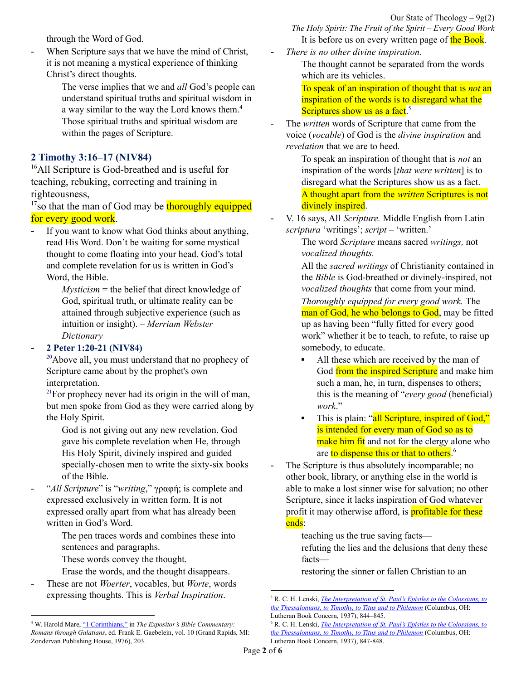through the Word of God.

When Scripture says that we have the mind of Christ, it is not meaning a mystical experience of thinking Christ's direct thoughts.

> The verse implies that we and *all* God's people can understand spiritual truths and spiritual wisdom in a way similar to the way the Lord knows them.<sup>4</sup> Those spiritual truths and spiritual wisdom are within the pages of Scripture.

### **2 Timothy 3:16–17 (NIV84)**

<sup>16</sup>All Scripture is God-breathed and is useful for teaching, rebuking, correcting and training in righteousness,

<sup>17</sup>so that the man of God may be thoroughly equipped for every good work.

If you want to know what God thinks about anything, read His Word. Don't be waiting for some mystical thought to come floating into your head. God's total and complete revelation for us is written in God's Word, the Bible.

> *Mysticism* = the belief that direct knowledge of God, spiritual truth, or ultimate reality can be attained through subjective experience (such as intuition or insight). – *Merriam Webster Dictionary*

#### - **2 Peter 1:20-21 (NIV84)**

 $20$ Above all, you must understand that no prophecy of Scripture came about by the prophet's own interpretation.

 $2^{1}$ For prophecy never had its origin in the will of man, but men spoke from God as they were carried along by the Holy Spirit.

God is not giving out any new revelation. God gave his complete revelation when He, through His Holy Spirit, divinely inspired and guided specially-chosen men to write the sixty-six books of the Bible.

- "*All Scripture*" is "*writing*," γραφή; is complete and expressed exclusively in written form. It is not expressed orally apart from what has already been written in God's Word.

> The pen traces words and combines these into sentences and paragraphs.

These words convey the thought.

- Erase the words, and the thought disappears.
- These are not *Woerter*, vocables, but *Worte*, words expressing thoughts. This is *Verbal Inspiration*.

*The Holy Spirit: The Fruit of the Spirit – Every Good Work* It is before us on every written page of the Book.

- *There is no other divine inspiration*.

The thought cannot be separated from the words which are its vehicles.

To speak of an inspiration of thought that is *not* an inspiration of the words is to disregard what the Scriptures show us as a fact.<sup>5</sup>

- The *written* words of Scripture that came from the voice (*vocable*) of God is the *divine inspiration* and *revelation* that we are to heed.

> To speak an inspiration of thought that is *not* an inspiration of the words [*that were written*] is to disregard what the Scriptures show us as a fact. A thought apart from the *written* Scriptures is not divinely inspired.

- V. 16 says, All *Scripture.* Middle English from Latin *scriptura* 'writings'; *script* – 'written.'

> The word *Scripture* means sacred *writings,* not *vocalized thoughts.*

All the *sacred writings* of Christianity contained in the *Bible* is God-breathed or divinely-inspired, not *vocalized thoughts* that come from your mind.

*Thoroughly equipped for every good work.* The man of God, he who belongs to God, may be fitted up as having been "fully fitted for every good work" whether it be to teach, to refute, to raise up somebody, to educate.

- All these which are received by the man of God from the inspired Scripture and make him such a man, he, in turn, dispenses to others; this is the meaning of "*every good* (beneficial) *work*."
- This is plain: "all Scripture, inspired of God," is intended for every man of God so as to make him fit and not for the clergy alone who are to dispense this or that to others.<sup>6</sup>
- The Scripture is thus absolutely incomparable; no other book, library, or anything else in the world is able to make a lost sinner wise for salvation; no other Scripture, since it lacks inspiration of God whatever profit it may otherwise afford, is **profitable for these** ends:

teaching us the true saving facts refuting the lies and the delusions that deny these facts—

restoring the sinner or fallen Christian to an

<sup>4</sup> W. Harold Mare, "1 [Corinthians,"](https://ref.ly/logosres/ebc10?ref=Bible.1Co2.16&off=588&ctx=+mind+of+the+Lord.%E2%80%9D+~The+verse+implies+th) in *The Expositor's Bible Commentary: Romans through Galatians*, ed. Frank E. Gaebelein, vol. 10 (Grand Rapids, MI: Zondervan Publishing House, 1976), 203.

<sup>5</sup> R. C. H. Lenski, *The [Interpretation](https://ref.ly/logosres/lenski09?ref=Bible.2Ti3.16&off=8817&ctx=ve+already+lost+it.%0a~%E2%80%9CAll+Scripture%E2%80%9D+is+%E2%80%9C) of St. Paul's Epistles to the Colossians, to the [Thessalonians,](https://ref.ly/logosres/lenski09?ref=Bible.2Ti3.16&off=8817&ctx=ve+already+lost+it.%0a~%E2%80%9CAll+Scripture%E2%80%9D+is+%E2%80%9C) to Timothy, to Titus and to Philemon* (Columbus, OH: Lutheran Book Concern, 1937), 844–845.

<sup>6</sup> R. C. H. Lenski, *The [Interpretation](https://ref.ly/logosres/lenski09?ref=Bible.2Ti3.17&off=1600&ctx=God+in+some+office.+~This+is+plain%3a+%E2%80%9Call+) of St. Paul's Epistles to the Colossians, to the [Thessalonians,](https://ref.ly/logosres/lenski09?ref=Bible.2Ti3.17&off=1600&ctx=God+in+some+office.+~This+is+plain%3a+%E2%80%9Call+) to Timothy, to Titus and to Philemon* (Columbus, OH: Lutheran Book Concern, 1937), 847-848.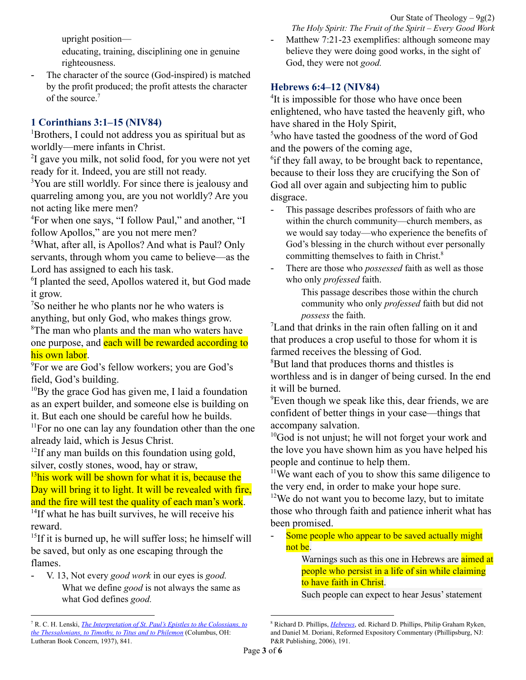Our State of Theology  $-9g(2)$ *The Holy Spirit: The Fruit of the Spirit – Every Good Work*

upright position—

educating, training, disciplining one in genuine righteousness.

The character of the source (God-inspired) is matched by the profit produced; the profit attests the character of the source.<sup>7</sup>

# **1 Corinthians 3:1–15 (NIV84)**

<sup>1</sup>Brothers, I could not address you as spiritual but as worldly—mere infants in Christ.

<sup>2</sup>I gave you milk, not solid food, for you were not yet ready for it. Indeed, you are still not ready.

<sup>3</sup>You are still worldly. For since there is jealousy and quarreling among you, are you not worldly? Are you not acting like mere men?

<sup>4</sup>For when one says, "I follow Paul," and another, "I follow Apollos," are you not mere men?

<sup>5</sup>What, after all, is Apollos? And what is Paul? Only servants, through whom you came to believe—as the Lord has assigned to each his task.

<sup>6</sup>I planted the seed, Apollos watered it, but God made it grow.

<sup>7</sup>So neither he who plants nor he who waters is anything, but only God, who makes things grow.

<sup>8</sup>The man who plants and the man who waters have one purpose, and each will be rewarded according to his own labor.

<sup>9</sup>For we are God's fellow workers; you are God's field, God's building.

 $10By$  the grace God has given me, I laid a foundation as an expert builder, and someone else is building on it. But each one should be careful how he builds.

 $11$ For no one can lay any foundation other than the one already laid, which is Jesus Christ.

<sup>12</sup>If any man builds on this foundation using gold, silver, costly stones, wood, hay or straw,

 $13$ his work will be shown for what it is, because the Day will bring it to light. It will be revealed with fire, and the fire will test the quality of each man's work.

<sup>14</sup>If what he has built survives, he will receive his reward.

<sup>15</sup>If it is burned up, he will suffer loss; he himself will be saved, but only as one escaping through the flames.

- V. 13, Not every *good work* in our eyes is *good.* What we define *good* is not always the same as what God defines *good.*

Matthew 7:21-23 exemplifies: although someone may believe they were doing good works, in the sight of God, they were not *good.*

# **Hebrews 6:4–12 (NIV84)**

<sup>4</sup>It is impossible for those who have once been enlightened, who have tasted the heavenly gift, who have shared in the Holy Spirit,

<sup>5</sup>who have tasted the goodness of the word of God and the powers of the coming age,

<sup>6</sup>if they fall away, to be brought back to repentance, because to their loss they are crucifying the Son of God all over again and subjecting him to public disgrace.

- This passage describes professors of faith who are within the church community—church members, as we would say today—who experience the benefits of God's blessing in the church without ever personally committing themselves to faith in Christ.<sup>8</sup>
- There are those who *possessed* faith as well as those who only *professed* faith.

This passage describes those within the church community who only *professed* faith but did not *possess* the faith.

<sup>7</sup>Land that drinks in the rain often falling on it and that produces a crop useful to those for whom it is farmed receives the blessing of God.

<sup>8</sup>But land that produces thorns and thistles is worthless and is in danger of being cursed. In the end it will be burned.

<sup>9</sup>Even though we speak like this, dear friends, we are confident of better things in your case—things that accompany salvation.

 $10$ God is not unjust; he will not forget your work and the love you have shown him as you have helped his people and continue to help them.

 $11$ We want each of you to show this same diligence to the very end, in order to make your hope sure.

 $12$ We do not want you to become lazy, but to imitate those who through faith and patience inherit what has been promised.

Some people who appear to be saved actually might not be.

> Warnings such as this one in Hebrews are aimed at people who persist in a life of sin while claiming to have faith in Christ.

Such people can expect to hear Jesus' statement

<sup>7</sup> R. C. H. Lenski, *The [Interpretation](https://ref.ly/logosres/lenski09?ref=Bible.2Ti3.16&off=1481&ctx=four+great+phrases.%0a~The+Scripture+is+thu) of St. Paul's Epistles to the Colossians, to the [Thessalonians,](https://ref.ly/logosres/lenski09?ref=Bible.2Ti3.16&off=1481&ctx=four+great+phrases.%0a~The+Scripture+is+thu) to Timothy, to Titus and to Philemon* (Columbus, OH: Lutheran Book Concern, 1937), 841.

<sup>8</sup> Richard D. Phillips, *[Hebrews](https://ref.ly/logosres/rec79heb?ref=Bible.Heb6.4-8&off=12974&ctx=+point+is+the+same.+~This+passage+describ)*, ed. Richard D. Phillips, Philip Graham Ryken, and Daniel M. Doriani, Reformed Expository Commentary (Phillipsburg, NJ: P&R Publishing, 2006), 191.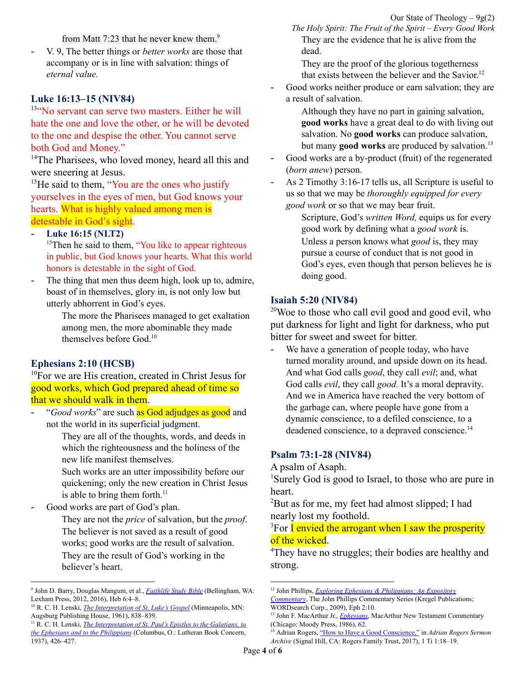from Matt 7:23 that he never knew them.<sup>9</sup>

- V. 9, The better things or *better works* are those that accompany or is in line with salvation: things of *eternal value.*

# **Luke 16:13–15 (NIV84)**

<sup>13"</sup>No servant can serve two masters. Either he will hate the one and love the other, or he will be devoted to the one and despise the other. You cannot serve both God and Money."

<sup>14</sup>The Pharisees, who loved money, heard all this and were sneering at Jesus.

 $<sup>15</sup>$ He said to them, "You are the ones who justify</sup> yourselves in the eyes of men, but God knows your hearts. What is highly valued among men is detestable in God's sight.

#### - **Luke 16:15 (NLT2)**

<sup>15</sup>Then he said to them, "You like to appear righteous" in public, but God knows your hearts. What this world honors is detestable in the sight of God.

The thing that men thus deem high, look up to, admire, boast of in themselves, glory in, is not only low but utterly abhorrent in God's eyes.

> The more the Pharisees managed to get exaltation among men, the more abominable they made themselves before God. 10

### **Ephesians 2:10 (HCSB)**

<sup>10</sup>For we are His creation, created in Christ Jesus for good works, which God prepared ahead of time so that we should walk in them.

- "*Good works*" are such as God adjudges as good and not the world in its superficial judgment.

> They are all of the thoughts, words, and deeds in which the righteousness and the holiness of the new life manifest themselves.

> Such works are an utter impossibility before our quickening; only the new creation in Christ Jesus is able to bring them forth. $<sup>11</sup>$ </sup>

Good works are part of God's plan.

They are not the *price* of salvation, but the *proof*. The believer is not saved as a result of good works; good works are the result of salvation. They are the result of God's working in the believer's heart.

Our State of Theology  $-9g(2)$ *The Holy Spirit: The Fruit of the Spirit – Every Good Work* They are the evidence that he is alive from the dead.

They are the proof of the glorious togetherness that exists between the believer and the Savior. 12

- Good works neither produce or earn salvation; they are a result of salvation.

> Although they have no part in gaining salvation, **good works** have a great deal to do with living out salvation. No **good works** can produce salvation, but many **good works** are produced by salvation. 13

- Good works are a by-product (fruit) of the regenerated (*born anew*) person.
- As 2 Timothy 3:16-17 tells us, all Scripture is useful to us so that we may be *thoroughly equipped for every good work* or so that we may bear fruit.

Scripture, God's *written Word,* equips us for every good work by defining what a *good work* is. Unless a person knows what *good* is, they may pursue a course of conduct that is not good in God's eyes, even though that person believes he is doing good.

#### **Isaiah 5:20 (NIV84)**

 $20$ Woe to those who call evil good and good evil, who put darkness for light and light for darkness, who put bitter for sweet and sweet for bitter.

We have a generation of people today, who have turned morality around, and upside down on its head. And what God calls *good*, they call *evil*; and, what God calls *evil*, they call *good.* It's a moral depravity. And we in America have reached the very bottom of the garbage can, where people have gone from a dynamic conscience, to a defiled conscience, to a deadened conscience, to a depraved conscience. 14

### **Psalm 73:1-28 (NIV84)**

A psalm of Asaph.

<sup>1</sup>Surely God is good to Israel, to those who are pure in heart.

<sup>2</sup>But as for me, my feet had almost slipped; I had nearly lost my foothold.

<sup>3</sup>For I envied the arrogant when I saw the prosperity of the wicked.

<sup>4</sup>They have no struggles; their bodies are healthy and strong.

<sup>9</sup> John D. Barry, Douglas Mangum, et al., *[Faithlife](https://ref.ly/logosres/fsb?ref=Bible.Heb6.4-8&off=920&ctx=he+possibility+that+~some+people+who+appe) Study Bible* (Bellingham, WA: Lexham Press, 2012, 2016), Heb 6:4–8.

<sup>10</sup> R. C. H. Lenski, *The [Interpretation](https://ref.ly/logosres/lenski03?ref=Bible.Lk16.15&off=2123&ctx=self-justification.+~The+thing+that+men+t) of St. Luke's Gospel* (Minneapolis, MN: Augsburg Publishing House, 1961), 838–839.

<sup>11</sup> R. C. H. Lenski, *The [Interpretation](https://ref.ly/logosres/lenski08?ref=Bible.Eph2.10&off=3307&ctx=untur+justificatum.+~%E2%80%9CGood+works%E2%80%9D+are+suc) of St. Paul's Epistles to the Galatians, to the Ephesians and to the [Philippians](https://ref.ly/logosres/lenski08?ref=Bible.Eph2.10&off=3307&ctx=untur+justificatum.+~%E2%80%9CGood+works%E2%80%9D+are+suc)* (Columbus, O.: Lutheran Book Concern, 1937), 426–427.

<sup>12</sup> John Phillips, *Exploring Ephesians & [Philippians:](https://ref.ly/logosres/jpcs70eph01?ref=Bible.Eph2.10&off=159&ctx=ould+walk+in+them.%E2%80%9D%0a~Good+works+are+part+) An Expository*

*[Commentary](https://ref.ly/logosres/jpcs70eph01?ref=Bible.Eph2.10&off=159&ctx=ould+walk+in+them.%E2%80%9D%0a~Good+works+are+part+)*, The John Phillips Commentary Series (Kregel Publications; WORDsearch Corp., 2009), Eph 2:10.

<sup>&</sup>lt;sup>13</sup> John F. MacArthur Jr., *[Ephesians](https://ref.ly/logosres/ephmntc?ref=Bible.Eph2.10&off=166&ctx=k+in+them.+(%EF%BB%BF2%3a10%EF%BB%BF)%0a~Although+they+have+n)*, MacArthur New Testament Commentary (Chicago: Moody Press, 1986), 62.

<sup>14</sup> Adrian Rogers, "How to Have a Good [Conscience,"](https://ref.ly/logosres/drnrgrssrmnrchv?ref=Bible.1Ti1.18-19&off=49135&ctx=er!%E2%80%9D+(Isaiah+5%3a20).+~We+have+a+generation) in *Adrian Rogers Sermon Archive* (Signal Hill, CA: Rogers Family Trust, 2017), 1 Ti 1:18–19.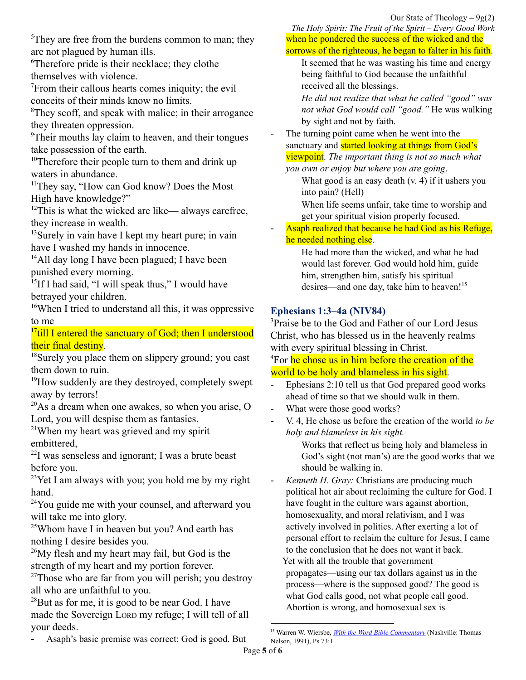<sup>5</sup>They are free from the burdens common to man; they are not plagued by human ills.

<sup>6</sup>Therefore pride is their necklace; they clothe themselves with violence.

<sup>7</sup>From their callous hearts comes iniquity; the evil conceits of their minds know no limits.

<sup>8</sup>They scoff, and speak with malice; in their arrogance they threaten oppression.

<sup>9</sup>Their mouths lay claim to heaven, and their tongues take possession of the earth.

 $10$ Therefore their people turn to them and drink up waters in abundance.

<sup>11</sup>They say, "How can God know? Does the Most High have knowledge?"

 $12$ This is what the wicked are like— always carefree, they increase in wealth.

 $13$ Surely in vain have I kept my heart pure; in vain have I washed my hands in innocence.

<sup>14</sup>All day long I have been plagued; I have been punished every morning.

<sup>15</sup>If I had said, "I will speak thus," I would have betrayed your children.

<sup>16</sup>When I tried to understand all this, it was oppressive to me

<sup>17</sup>till I entered the sanctuary of God; then I understood their final destiny.

<sup>18</sup>Surely you place them on slippery ground; you cast them down to ruin.

<sup>19</sup>How suddenly are they destroyed, completely swept away by terrors!

 $^{20}$ As a dream when one awakes, so when you arise, O Lord, you will despise them as fantasies.

<sup>21</sup>When my heart was grieved and my spirit embittered,

 $^{22}$ I was senseless and ignorant; I was a brute beast before you.

 $2<sup>3</sup>$ Yet I am always with you; you hold me by my right hand.

<sup>24</sup>You guide me with your counsel, and afterward you will take me into glory.

<sup>25</sup>Whom have I in heaven but you? And earth has nothing I desire besides you.

 $26$ My flesh and my heart may fail, but God is the strength of my heart and my portion forever.

 $27$ Those who are far from you will perish; you destroy all who are unfaithful to you.

 $^{28}$ But as for me, it is good to be near God. I have made the Sovereign LORD my refuge; I will tell of all your deeds.

- Asaph's basic premise was correct: God is good. But

*The Holy Spirit: The Fruit of the Spirit – Every Good Work* when he pondered the success of the wicked and the sorrows of the righteous, he began to falter in his faith.

It seemed that he was wasting his time and energy being faithful to God because the unfaithful received all the blessings.

*He did not realize that what he called "good" was not what God would call "good."* He was walking by sight and not by faith.

The turning point came when he went into the sanctuary and **started looking at things from God's** viewpoint. *The important thing is not so much what you own or enjoy but where you are going*.

What good is an easy death (v. 4) if it ushers you into pain? (Hell)

When life seems unfair, take time to worship and get your spiritual vision properly focused.

Asaph realized that because he had God as his Refuge, he needed nothing else.

> He had more than the wicked, and what he had would last forever. God would hold him, guide him, strengthen him, satisfy his spiritual desires—and one day, take him to heaven!<sup>15</sup>

# **Ephesians 1:3–4a (NIV84)**

<sup>3</sup>Praise be to the God and Father of our Lord Jesus Christ, who has blessed us in the heavenly realms with every spiritual blessing in Christ.

<sup>4</sup>For he chose us in him before the creation of the world to be holy and blameless in his sight.

- Ephesians 2:10 tell us that God prepared good works ahead of time so that we should walk in them.
- What were those good works?
- V. 4, He chose us before the creation of the world *to be holy and blameless in his sight.*

Works that reflect us being holy and blameless in God's sight (not man's) are the good works that we should be walking in.

- *Kenneth H. Gray:* Christians are producing much political hot air about reclaiming the culture for God. I have fought in the culture wars against abortion, homosexuality, and moral relativism, and I was actively involved in politics. After exerting a lot of personal effort to reclaim the culture for Jesus, I came to the conclusion that he does not want it back. Yet with all the trouble that government propagates—using our tax dollars against us in the process—where is the supposed good? The good is what God calls good, not what people call good. Abortion is wrong, and homosexual sex is

<sup>15</sup> Warren W. Wiersbe, *With the Word Bible [Commentary](https://ref.ly/logosres/withword?ref=Bible.Ps73.1&off=152&ctx=d!%0aThe+philosopher.+~Asaph%E2%80%99s+basic+premis)* (Nashville: Thomas Nelson, 1991), Ps 73:1.